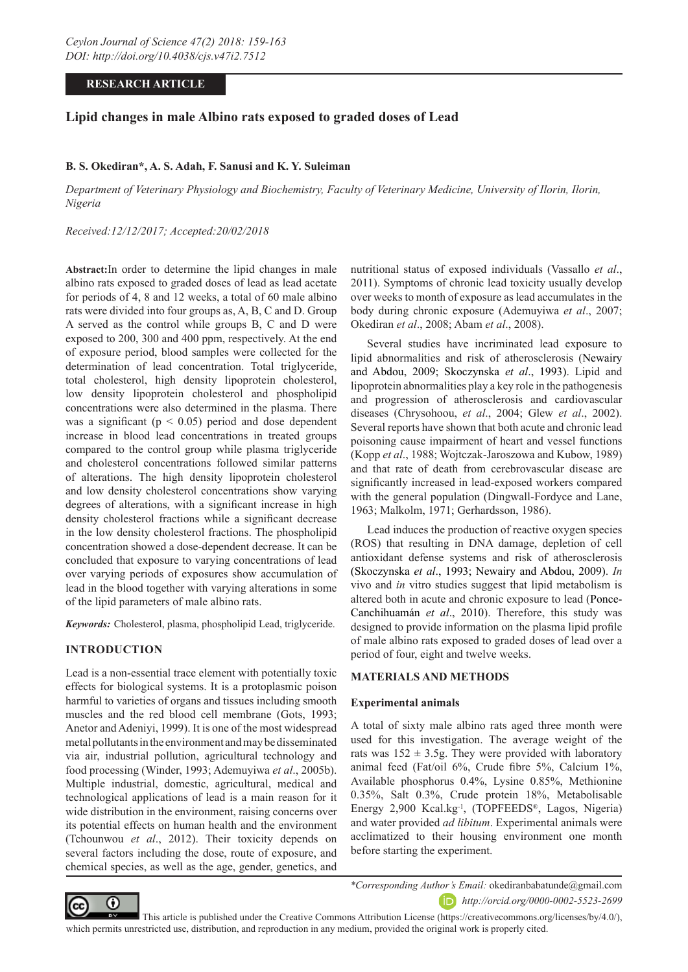### **RESEARCH ARTICLE**

# **Lipid changes in male Albino rats exposed to graded doses of Lead**

### **B. S. Okediran\*, A. S. Adah, F. Sanusi and K. Y. Suleiman**

*Department of Veterinary Physiology and Biochemistry, Faculty of Veterinary Medicine, University of Ilorin, Ilorin, Nigeria*

### *Received:12/12/2017; Accepted:20/02/2018*

**Abstract:**In order to determine the lipid changes in male albino rats exposed to graded doses of lead as lead acetate for periods of 4, 8 and 12 weeks, a total of 60 male albino rats were divided into four groups as, A, B, C and D. Group A served as the control while groups B, C and D were exposed to 200, 300 and 400 ppm, respectively. At the end of exposure period, blood samples were collected for the determination of lead concentration. Total triglyceride, total cholesterol, high density lipoprotein cholesterol, low density lipoprotein cholesterol and phospholipid concentrations were also determined in the plasma. There was a significant ( $p < 0.05$ ) period and dose dependent increase in blood lead concentrations in treated groups compared to the control group while plasma triglyceride and cholesterol concentrations followed similar patterns of alterations. The high density lipoprotein cholesterol and low density cholesterol concentrations show varying degrees of alterations, with a significant increase in high density cholesterol fractions while a significant decrease in the low density cholesterol fractions. The phospholipid concentration showed a dose-dependent decrease. It can be concluded that exposure to varying concentrations of lead over varying periods of exposures show accumulation of lead in the blood together with varying alterations in some of the lipid parameters of male albino rats.

*Keywords:* Cholesterol, plasma, phospholipid Lead, triglyceride.

### **INTRODUCTION**

Lead is a non-essential trace element with potentially toxic effects for biological systems. It is a protoplasmic poison harmful to varieties of organs and tissues including smooth muscles and the red blood cell membrane (Gots, 1993; Anetor and Adeniyi, 1999). It is one of the most widespread metal pollutants in the environment and may be disseminated via air, industrial pollution, agricultural technology and food processing (Winder, 1993; Ademuyiwa *et al*., 2005b). Multiple industrial, domestic, agricultural, medical and technological applications of lead is a main reason for it wide distribution in the environment, raising concerns over its potential effects on human health and the environment (Tchounwou *et al*., 2012). Their toxicity depends on several factors including the dose, route of exposure, and chemical species, as well as the age, gender, genetics, and

nutritional status of exposed individuals (Vassallo *et al*., 2011). Symptoms of chronic lead toxicity usually develop over weeks to month of exposure as lead accumulates in the body during chronic exposure (Ademuyiwa *et al*., 2007; Okediran *et al*., 2008; Abam *et al*., 2008).

Several studies have incriminated lead exposure to lipid abnormalities and risk of atherosclerosis (Newairy and Abdou, 2009; Skoczynska *et al*., 1993). Lipid and lipoprotein abnormalities play a key role in the pathogenesis and progression of atherosclerosis and cardiovascular diseases (Chrysohoou, *et al*., 2004; Glew *et al*., 2002). Several reports have shown that both acute and chronic lead poisoning cause impairment of heart and vessel functions (Kopp *et al*., 1988; Wojtczak-Jaroszowa and Kubow, 1989) and that rate of death from cerebrovascular disease are significantly increased in lead-exposed workers compared with the general population (Dingwall-Fordyce and Lane, 1963; Malkolm, 1971; Gerhardsson, 1986).

Lead induces the production of reactive oxygen species (ROS) that resulting in DNA damage, depletion of cell antioxidant defense systems and risk of atherosclerosis (Skoczynska *et al*., 1993; Newairy and Abdou, 2009). *In* vivo and *in* vitro studies suggest that lipid metabolism is altered both in acute and chronic exposure to lead (Ponce-Canchihuamán *et al*., 2010). Therefore, this study was designed to provide information on the plasma lipid profile of male albino rats exposed to graded doses of lead over a period of four, eight and twelve weeks.

#### **MATERIALS AND METHODS**

#### **Experimental animals**

A total of sixty male albino rats aged three month were used for this investigation. The average weight of the rats was  $152 \pm 3.5$ g. They were provided with laboratory animal feed (Fat/oil 6%, Crude fibre 5%, Calcium 1%, Available phosphorus 0.4%, Lysine 0.85%, Methionine 0.35%, Salt 0.3%, Crude protein 18%, Metabolisable Energy 2,900 Kcal.kg-1, (TOPFEEDS®, Lagos, Nigeria) and water provided *ad libitum*. Experimental animals were acclimatized to their housing environment one month before starting the experiment.



*\*Corresponding Author's Email:* okediranbabatunde@gmail.com *http://orcid.org/0000-0002-5523-2699*

 This article is published under the Creative Commons Attribution License (https://creativecommons.org/licenses/by/4.0/), which permits unrestricted use, distribution, and reproduction in any medium, provided the original work is properly cited.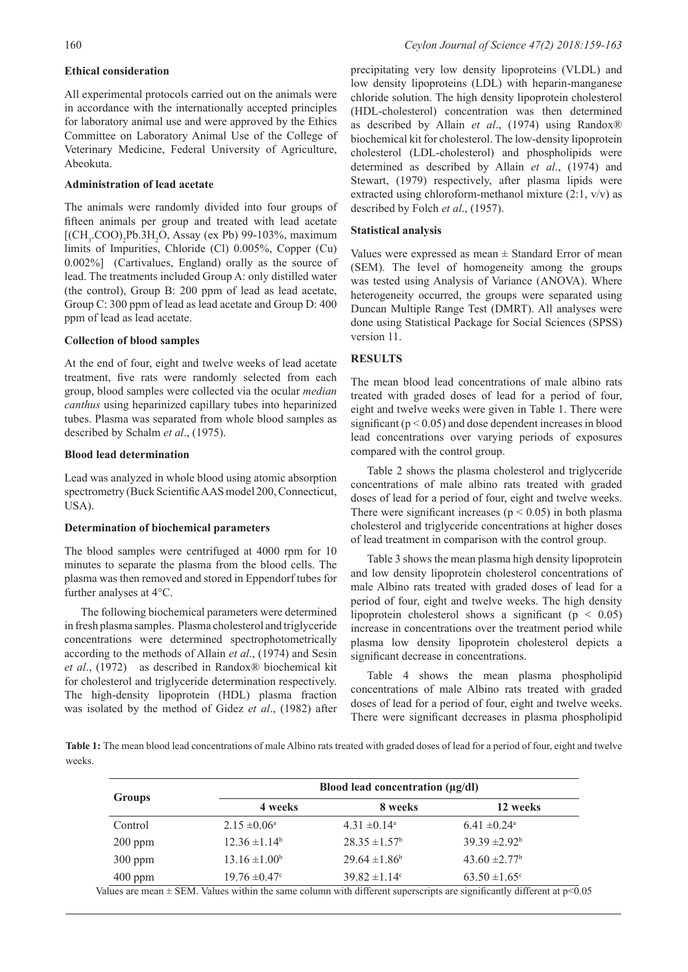### **Ethical consideration**

All experimental protocols carried out on the animals were in accordance with the internationally accepted principles for laboratory animal use and were approved by the Ethics Committee on Laboratory Animal Use of the College of Veterinary Medicine, Federal University of Agriculture, Abeokuta.

### **Administration of lead acetate**

The animals were randomly divided into four groups of fifteen animals per group and treated with lead acetate  $[(CH<sub>3</sub>COO)<sub>2</sub>Pb.3H<sub>2</sub>O, Assay (ex Pb) 99-103%, maximum]$ limits of Impurities, Chloride (Cl) 0.005%, Copper (Cu) 0.002%] (Cartivalues, England) orally as the source of lead. The treatments included Group A: only distilled water (the control), Group B: 200 ppm of lead as lead acetate, Group C: 300 ppm of lead as lead acetate and Group D: 400 ppm of lead as lead acetate.

### **Collection of blood samples**

At the end of four, eight and twelve weeks of lead acetate treatment, five rats were randomly selected from each group, blood samples were collected via the ocular *median canthus* using heparinized capillary tubes into heparinized tubes. Plasma was separated from whole blood samples as described by Schalm *et al*., (1975).

### **Blood lead determination**

Lead was analyzed in whole blood using atomic absorption spectrometry (Buck Scientific AAS model 200, Connecticut, USA).

### **Determination of biochemical parameters**

The blood samples were centrifuged at 4000 rpm for 10 minutes to separate the plasma from the blood cells. The plasma was then removed and stored in Eppendorf tubes for further analyses at 4°C.

The following biochemical parameters were determined in fresh plasma samples. Plasma cholesterol and triglyceride concentrations were determined spectrophotometrically according to the methods of Allain *et al*., (1974) and Sesin *et al*., (1972) as described in Randox® biochemical kit for cholesterol and triglyceride determination respectively. The high-density lipoprotein (HDL) plasma fraction was isolated by the method of Gidez *et al*., (1982) after

precipitating very low density lipoproteins (VLDL) and low density lipoproteins (LDL) with heparin-manganese chloride solution. The high density lipoprotein cholesterol (HDL-cholesterol) concentration was then determined as described by Allain *et al*., (1974) using Randox® biochemical kit for cholesterol. The low-density lipoprotein cholesterol (LDL-cholesterol) and phospholipids were determined as described by Allain *et al*., (1974) and Stewart, (1979) respectively, after plasma lipids were extracted using chloroform-methanol mixture (2:1, v/v) as described by Folch *et al*., (1957).

## **Statistical analysis**

Values were expressed as mean  $\pm$  Standard Error of mean (SEM). The level of homogeneity among the groups was tested using Analysis of Variance (ANOVA). Where heterogeneity occurred, the groups were separated using Duncan Multiple Range Test (DMRT). All analyses were done using Statistical Package for Social Sciences (SPSS) version 11.

# **RESULTS**

The mean blood lead concentrations of male albino rats treated with graded doses of lead for a period of four, eight and twelve weeks were given in Table 1. There were significant ( $p < 0.05$ ) and dose dependent increases in blood lead concentrations over varying periods of exposures compared with the control group.

Table 2 shows the plasma cholesterol and triglyceride concentrations of male albino rats treated with graded doses of lead for a period of four, eight and twelve weeks. There were significant increases ( $p < 0.05$ ) in both plasma cholesterol and triglyceride concentrations at higher doses of lead treatment in comparison with the control group.

Table 3 shows the mean plasma high density lipoprotein and low density lipoprotein cholesterol concentrations of male Albino rats treated with graded doses of lead for a period of four, eight and twelve weeks. The high density lipoprotein cholesterol shows a significant ( $p < 0.05$ ) increase in concentrations over the treatment period while plasma low density lipoprotein cholesterol depicts a significant decrease in concentrations.

Table 4 shows the mean plasma phospholipid concentrations of male Albino rats treated with graded doses of lead for a period of four, eight and twelve weeks. There were significant decreases in plasma phospholipid

**Table 1:** The mean blood lead concentrations of male Albino rats treated with graded doses of lead for a period of four, eight and twelve weeks.

| <b>Groups</b> | Blood lead concentration $(\mu g/dl)$ |                               |                              |  |  |  |
|---------------|---------------------------------------|-------------------------------|------------------------------|--|--|--|
|               | 4 weeks                               | 8 weeks                       | 12 weeks                     |  |  |  |
| Control       | $2.15 \pm 0.06^{\circ}$               | $4.31 \pm 0.14^a$             | $6.41 \pm 0.24$ <sup>a</sup> |  |  |  |
| $200$ ppm     | $12.36 \pm 1.14^b$                    | $28.35 \pm 1.57^{\circ}$      | $39.39 \pm 2.92^b$           |  |  |  |
| $300$ ppm     | $13.16 \pm 1.00^b$                    | $29.64 \pm 1.86^b$            | 43.60 $\pm 2.77^{\rm b}$     |  |  |  |
| $400$ ppm     | $19.76 \pm 0.47$ °                    | $39.82 \pm 1.14$ <sup>c</sup> | $63.50 \pm 1.65$ °           |  |  |  |

Values are mean  $\pm$  SEM. Values within the same column with different superscripts are significantly different at  $p$ <0.05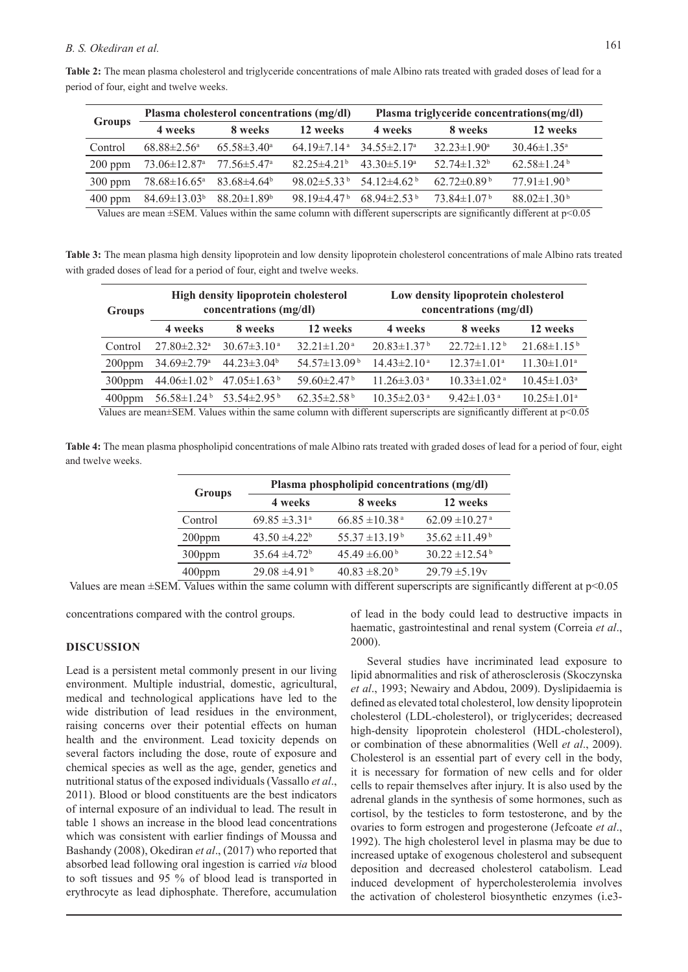# *B. S. Okediran et al.* 161

| period of four, eight and twelve weeks. |  |  |                                           |  |  |                                           |  |
|-----------------------------------------|--|--|-------------------------------------------|--|--|-------------------------------------------|--|
|                                         |  |  | Plasma cholesterol concentrations (mg/dl) |  |  | Plasma triglyceride concentrations(mg/dl) |  |
| <b>Groups</b>                           |  |  |                                           |  |  |                                           |  |

**Table 2:** The mean plasma cholesterol and triglyceride concentrations of male Albino rats treated with graded doses of lead for a

|               |                                                              | Trasma choicsicrof concentrations (mg/uf) |                                                             | The magnetic concentrations ing/ ur)                        |                               |                               |  |
|---------------|--------------------------------------------------------------|-------------------------------------------|-------------------------------------------------------------|-------------------------------------------------------------|-------------------------------|-------------------------------|--|
| <b>Groups</b> | 4 weeks                                                      | 8 weeks                                   | 12 weeks                                                    | 4 weeks                                                     | 8 weeks                       | 12 weeks                      |  |
| Control       | $68.88 \pm 2.56^{\circ}$                                     | $65.58 \pm 3.40^{\circ}$                  | $64.19 \pm 7.14$ <sup>a</sup> 34.55 $\pm$ 2.17 <sup>a</sup> |                                                             | $32.23 \pm 1.90^{\circ}$      | $30.46 \pm 1.35^{\circ}$      |  |
| $200$ ppm     | $73.06 \pm 12.87$ <sup>a</sup> $77.56 \pm 5.47$ <sup>a</sup> |                                           | $82.25 \pm 4.21^{\circ}$ $43.30 \pm 5.19^{\circ}$           |                                                             | $52.74 \pm 1.32^b$            | $62.58 \pm 1.24$ <sup>b</sup> |  |
| $300$ ppm     | $78.68 \pm 16.65^{\text{a}}$ $83.68 \pm 4.64^{\text{b}}$     |                                           |                                                             | $98.02 \pm 5.33^{\mathrm{b}}$ 54.12 $\pm 4.62^{\mathrm{b}}$ | $62.72\pm0.89^{\mathrm{b}}$   | $77.91 \pm 1.90^{\mathrm{b}}$ |  |
| $400$ ppm     | $84.69 \pm 13.03^b$ $88.20 \pm 1.89^b$                       |                                           |                                                             | 98.19 $\pm$ 4.47 <sup>b</sup> 68.94 $\pm$ 2.53 <sup>b</sup> | $73.84 \pm 1.07^{\mathrm{b}}$ | $88.02 \pm 1.30^{\mathrm{b}}$ |  |

Values are mean ±SEM. Values within the same column with different superscripts are significantly different at p<0.05

**Table 3:** The mean plasma high density lipoprotein and low density lipoprotein cholesterol concentrations of male Albino rats treated with graded doses of lead for a period of four, eight and twelve weeks.

| Groups    |                               | High density lipoprotein cholesterol<br>concentrations (mg/dl) |                                | Low density lipoprotein cholesterol<br>concentrations (mg/dl) |                               |                               |  |
|-----------|-------------------------------|----------------------------------------------------------------|--------------------------------|---------------------------------------------------------------|-------------------------------|-------------------------------|--|
|           | 4 weeks                       | 8 weeks                                                        | 12 weeks                       | 4 weeks                                                       | 8 weeks                       | 12 weeks                      |  |
| Control   | $27.80 \pm 2.32$ <sup>a</sup> | $30.67 \pm 3.10^{\text{a}}$                                    | $32.21 \pm 1.20$ <sup>a</sup>  | $20.83 \pm 1.37$ <sup>b</sup>                                 | $22.72 \pm 1.12^{\mathrm{b}}$ | $21.68 \pm 1.15^{b}$          |  |
| $200$ ppm | $34.69 \pm 2.79$ <sup>a</sup> | $44.23 \pm 3.04^b$                                             | $54.57 \pm 13.09^{\mathrm{b}}$ | $14.43 \pm 2.10^{\text{a}}$                                   | $12.37 \pm 1.01^a$            | $11.30 \pm 1.01^a$            |  |
| 300ppm    | 44.06 $\pm$ 1.02 <sup>b</sup> | 47.05 $\pm$ 1.63 <sup>b</sup>                                  | $59.60 \pm 2.47$ <sup>b</sup>  | $11.26 \pm 3.03$ <sup>a</sup>                                 | $10.33 \pm 1.02$ <sup>a</sup> | $10.45 \pm 1.03^{\circ}$      |  |
| 400ppm    | $56.58 \pm 1.24^{\mathrm{b}}$ | 53.54 $\pm$ 2.95 <sup>b</sup>                                  | $62.35 \pm 2.58$ <sup>b</sup>  | $10.35 \pm 2.03$ <sup>a</sup>                                 | $9.42 \pm 1.03$ <sup>a</sup>  | $10.25 \pm 1.01$ <sup>a</sup> |  |

Values are mean±SEM. Values within the same column with different superscripts are significantly different at p<0.05

**Table 4:** The mean plasma phospholipid concentrations of male Albino rats treated with graded doses of lead for a period of four, eight and twelve weeks.

|               | Plasma phospholipid concentrations (mg/dl) |                                |                                |  |  |  |  |  |
|---------------|--------------------------------------------|--------------------------------|--------------------------------|--|--|--|--|--|
| <b>Groups</b> | 4 weeks                                    | 8 weeks                        | 12 weeks                       |  |  |  |  |  |
| Control       | $69.85 \pm 3.31$ <sup>a</sup>              | $66.85 \pm 10.38$ <sup>a</sup> | $62.09 \pm 10.27$ <sup>a</sup> |  |  |  |  |  |
| $200$ ppm     | $43.50 \pm 4.22^b$                         | $55.37 \pm 13.19^{\mathrm{b}}$ | $35.62 \pm 11.49^{\mathrm{b}}$ |  |  |  |  |  |
| 300ppm        | $35.64 \pm 4.72^b$                         | $45.49 \pm 6.00^{\mathrm{b}}$  | $30.22 \pm 12.54$ <sup>b</sup> |  |  |  |  |  |
| $400$ ppm     | $29.08 \pm 4.91$ <sup>b</sup>              | $40.83 \pm 8.20^{\mathrm{b}}$  | $29.79 \pm 5.19v$              |  |  |  |  |  |

Values are mean ±SEM. Values within the same column with different superscripts are significantly different at p<0.05

concentrations compared with the control groups.

### **DISCUSSION**

Lead is a persistent metal commonly present in our living environment. Multiple industrial, domestic, agricultural, medical and technological applications have led to the wide distribution of lead residues in the environment, raising concerns over their potential effects on human health and the environment. Lead toxicity depends on several factors including the dose, route of exposure and chemical species as well as the age, gender, genetics and nutritional status of the exposed individuals (Vassallo *et al*., 2011). Blood or blood constituents are the best indicators of internal exposure of an individual to lead. The result in table 1 shows an increase in the blood lead concentrations which was consistent with earlier findings of Moussa and Bashandy (2008), Okediran *et al*., (2017) who reported that absorbed lead following oral ingestion is carried *via* blood to soft tissues and 95 % of blood lead is transported in erythrocyte as lead diphosphate. Therefore, accumulation of lead in the body could lead to destructive impacts in haematic, gastrointestinal and renal system (Correia *et al*., 2000).

Several studies have incriminated lead exposure to lipid abnormalities and risk of atherosclerosis (Skoczynska *et al*., 1993; Newairy and Abdou, 2009). Dyslipidaemia is defined as elevated total cholesterol, low density lipoprotein cholesterol (LDL-cholesterol), or triglycerides; decreased high-density lipoprotein cholesterol (HDL-cholesterol), or combination of these abnormalities (Well *et al*., 2009). Cholesterol is an essential part of every cell in the body, it is necessary for formation of new cells and for older cells to repair themselves after injury. It is also used by the adrenal glands in the synthesis of some hormones, such as cortisol, by the testicles to form testosterone, and by the ovaries to form estrogen and progesterone (Jefcoate *et al*., 1992). The high cholesterol level in plasma may be due to increased uptake of exogenous cholesterol and subsequent deposition and decreased cholesterol catabolism. Lead induced development of hypercholesterolemia involves the activation of cholesterol biosynthetic enzymes (i.e3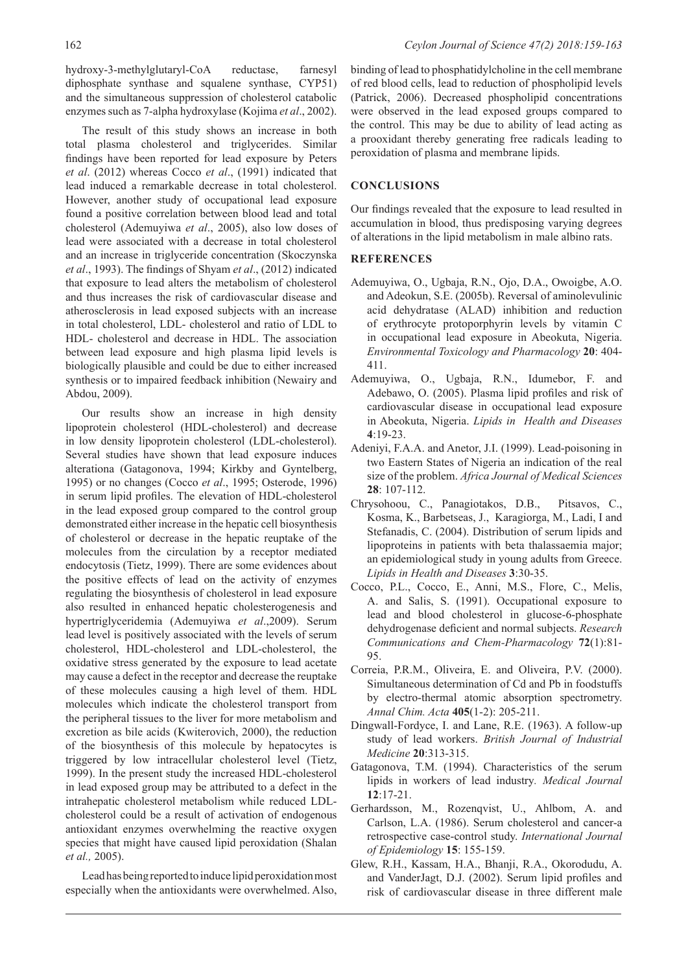hydroxy-3-methylglutaryl-CoA reductase, farnesyl diphosphate synthase and squalene synthase, CYP51) and the simultaneous suppression of cholesterol catabolic enzymes such as 7-alpha hydroxylase (Kojima *et al*., 2002).

The result of this study shows an increase in both total plasma cholesterol and triglycerides. Similar findings have been reported for lead exposure by Peters *et al*. (2012) whereas Cocco *et al*., (1991) indicated that lead induced a remarkable decrease in total cholesterol. However, another study of occupational lead exposure found a positive correlation between blood lead and total cholesterol (Ademuyiwa *et al*., 2005), also low doses of lead were associated with a decrease in total cholesterol and an increase in triglyceride concentration (Skoczynska *et al*., 1993). The findings of Shyam *et al*., (2012) indicated that exposure to lead alters the metabolism of cholesterol and thus increases the risk of cardiovascular disease and atherosclerosis in lead exposed subjects with an increase in total cholesterol, LDL- cholesterol and ratio of LDL to HDL- cholesterol and decrease in HDL. The association between lead exposure and high plasma lipid levels is biologically plausible and could be due to either increased synthesis or to impaired feedback inhibition (Newairy and Abdou, 2009).

Our results show an increase in high density lipoprotein cholesterol (HDL-cholesterol) and decrease in low density lipoprotein cholesterol (LDL-cholesterol). Several studies have shown that lead exposure induces alterationa (Gatagonova, 1994; Kirkby and Gyntelberg, 1995) or no changes (Cocco *et al*., 1995; Osterode, 1996) in serum lipid profiles. The elevation of HDL-cholesterol in the lead exposed group compared to the control group demonstrated either increase in the hepatic cell biosynthesis of cholesterol or decrease in the hepatic reuptake of the molecules from the circulation by a receptor mediated endocytosis (Tietz, 1999). There are some evidences about the positive effects of lead on the activity of enzymes regulating the biosynthesis of cholesterol in lead exposure also resulted in enhanced hepatic cholesterogenesis and hypertriglyceridemia (Ademuyiwa *et al*.,2009). Serum lead level is positively associated with the levels of serum cholesterol, HDL-cholesterol and LDL-cholesterol, the oxidative stress generated by the exposure to lead acetate may cause a defect in the receptor and decrease the reuptake of these molecules causing a high level of them. HDL molecules which indicate the cholesterol transport from the peripheral tissues to the liver for more metabolism and excretion as bile acids (Kwiterovich, 2000), the reduction of the biosynthesis of this molecule by hepatocytes is triggered by low intracellular cholesterol level (Tietz, 1999). In the present study the increased HDL-cholesterol in lead exposed group may be attributed to a defect in the intrahepatic cholesterol metabolism while reduced LDLcholesterol could be a result of activation of endogenous antioxidant enzymes overwhelming the reactive oxygen species that might have caused lipid peroxidation (Shalan *et al.,* 2005).

Lead has being reported to induce lipid peroxidation most especially when the antioxidants were overwhelmed. Also, binding of lead to phosphatidylcholine in the cell membrane of red blood cells, lead to reduction of phospholipid levels (Patrick, 2006). Decreased phospholipid concentrations were observed in the lead exposed groups compared to the control. This may be due to ability of lead acting as a prooxidant thereby generating free radicals leading to peroxidation of plasma and membrane lipids.

## **CONCLUSIONS**

Our findings revealed that the exposure to lead resulted in accumulation in blood, thus predisposing varying degrees of alterations in the lipid metabolism in male albino rats.

# **REFERENCES**

- Ademuyiwa, O., Ugbaja, R.N., Ojo, D.A., Owoigbe, A.O. and Adeokun, S.E. (2005b). Reversal of aminolevulinic acid dehydratase (ALAD) inhibition and reduction of erythrocyte protoporphyrin levels by vitamin C in occupational lead exposure in Abeokuta, Nigeria. *Environmental Toxicology and Pharmacology* **20**: 404- 411.
- Ademuyiwa, O., Ugbaja, R.N., Idumebor, F. and Adebawo, O. (2005). Plasma lipid profiles and risk of cardiovascular disease in occupational lead exposure in Abeokuta, Nigeria. *Lipids in Health and Diseases* **4**:19-23.
- Adeniyi, F.A.A. and Anetor, J.I. (1999). Lead-poisoning in two Eastern States of Nigeria an indication of the real size of the problem. *Africa Journal of Medical Sciences* **28**: 107-112.
- Chrysohoou, C., Panagiotakos, D.B., Pitsavos, C., Kosma, K., Barbetseas, J., Karagiorga, M., Ladi, I and Stefanadis, C. (2004). Distribution of serum lipids and lipoproteins in patients with beta thalassaemia major; an epidemiological study in young adults from Greece. *Lipids in Health and Diseases* **3**:30-35.
- Cocco, P.L., Cocco, E., Anni, M.S., Flore, C., Melis, A. and Salis, S. (1991). Occupational exposure to lead and blood cholesterol in glucose-6-phosphate dehydrogenase deficient and normal subjects. *Research Communications and Chem-Pharmacology* **72**(1):81- 95.
- Correia, P.R.M., Oliveira, E. and Oliveira, P.V. (2000). Simultaneous determination of Cd and Pb in foodstuffs by electro-thermal atomic absorption spectrometry. *Annal Chim. Acta* **405**(1-2): 205-211.
- Dingwall-Fordyce, I. and Lane, R.E. (1963). A follow-up study of lead workers. *British Journal of Industrial Medicine* **20**:313-315.
- Gatagonova, T.M. (1994). Characteristics of the serum lipids in workers of lead industry*. Medical Journal*  **12**:17-21.
- Gerhardsson, M., Rozenqvist, U., Ahlbom, A. and Carlson, L.A. (1986). Serum cholesterol and cancer-a retrospective case-control study. *International Journal of Epidemiology* **15**: 155-159.
- Glew, R.H., Kassam, H.A., Bhanji, R.A., Okorodudu, A. and VanderJagt, D.J. (2002). Serum lipid profiles and risk of cardiovascular disease in three different male